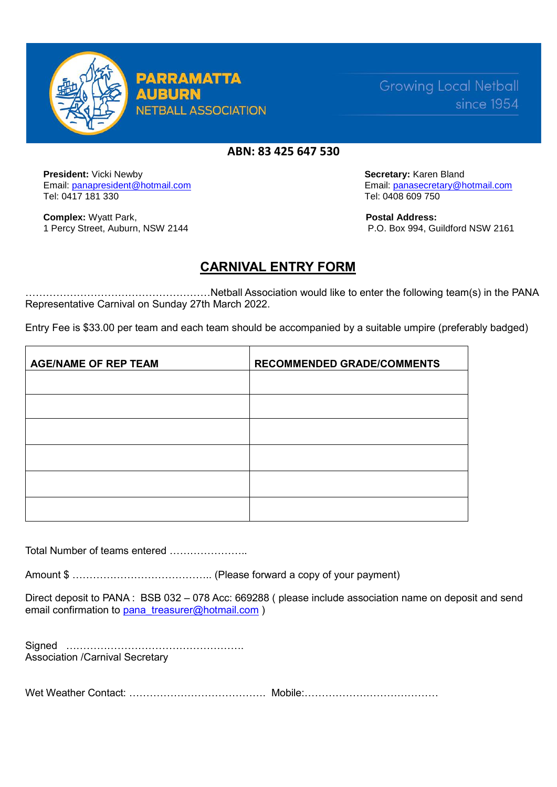

**PARRAMATTA AUBUR NETBALL ASSOCIATION** 

**Growing Local Netball** since 1954

## **ABN: 83 425 647 530**

**President:** Vicki Newby **Secretary: Karen Bland Secretary: Karen Bland**  Email: [panapresident@hotmail.com](mailto:panapresident@hotmail.com) Email: [panasecretary@hotmail.com](mailto:panasecretary@hotmail.com)  Tel: 0417 181 330 Tel: 0408 609 750

**Complex:** Wyatt Park, **Postal Address: Postal Address:** 

1 Percy Street, Auburn, NSW 2144 P.O. Box 994, Guildford NSW 2161

# **CARNIVAL ENTRY FORM**

………………………………………………Netball Association would like to enter the following team(s) in the PANA Representative Carnival on Sunday 27th March 2022.

Entry Fee is \$33.00 per team and each team should be accompanied by a suitable umpire (preferably badged)

| <b>AGE/NAME OF REP TEAM</b> | <b>RECOMMENDED GRADE/COMMENTS</b> |
|-----------------------------|-----------------------------------|
|                             |                                   |
|                             |                                   |
|                             |                                   |
|                             |                                   |
|                             |                                   |
|                             |                                   |

Total Number of teams entered …………………..

Amount \$ ………………………………….. (Please forward a copy of your payment)

Direct deposit to PANA : BSB 032 – 078 Acc: 669288 ( please include association name on deposit and send email confirmation to [pana\\_treasurer@hotmail.com](about:blank) )

Signed ……………………………………………. Association /Carnival Secretary

Wet Weather Contact: ……………………………………… Mobile: ……………………………………………………………………………………………